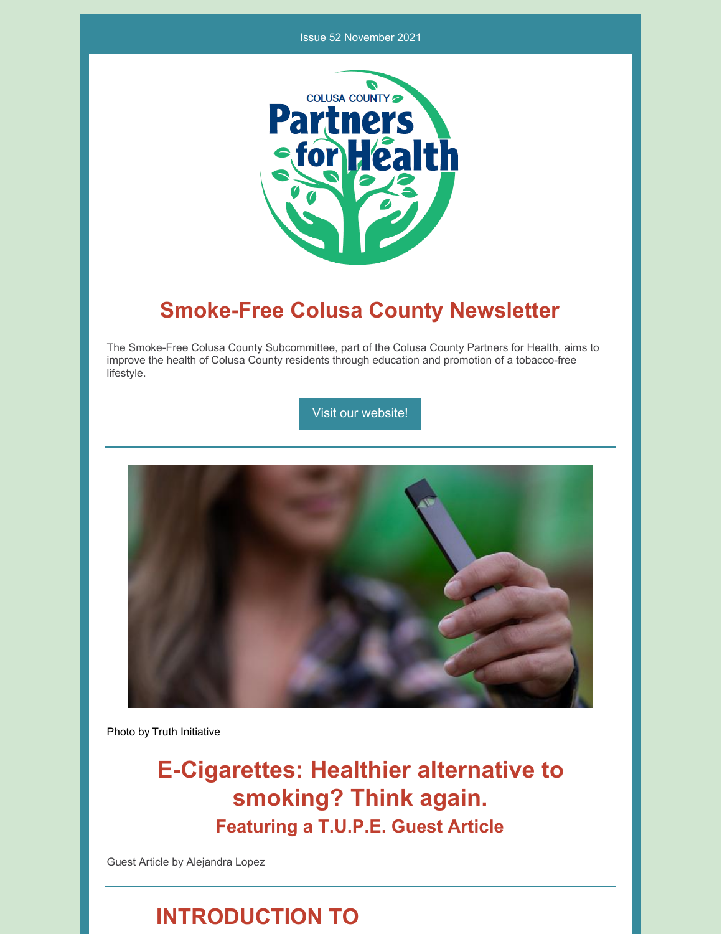#### Issue 52 November 2021



### **Smoke-Free Colusa County Newsletter**

The Smoke-Free Colusa County Subcommittee, part of the Colusa County Partners for Health, aims to improve the health of Colusa County residents through education and promotion of a tobacco-free lifestyle.

Visit our [website!](https://www.countyofcolusa.org/index.aspx?NID=580)



Photo by Truth [Initiative](https://truthinitiative.org/search?search_query=vaping&op=Submit&page=1)

**E-Cigarettes: Healthier alternative to smoking? Think again. Featuring a T.U.P.E. Guest Article**

Guest Article by Alejandra Lopez

### **INTRODUCTION TO**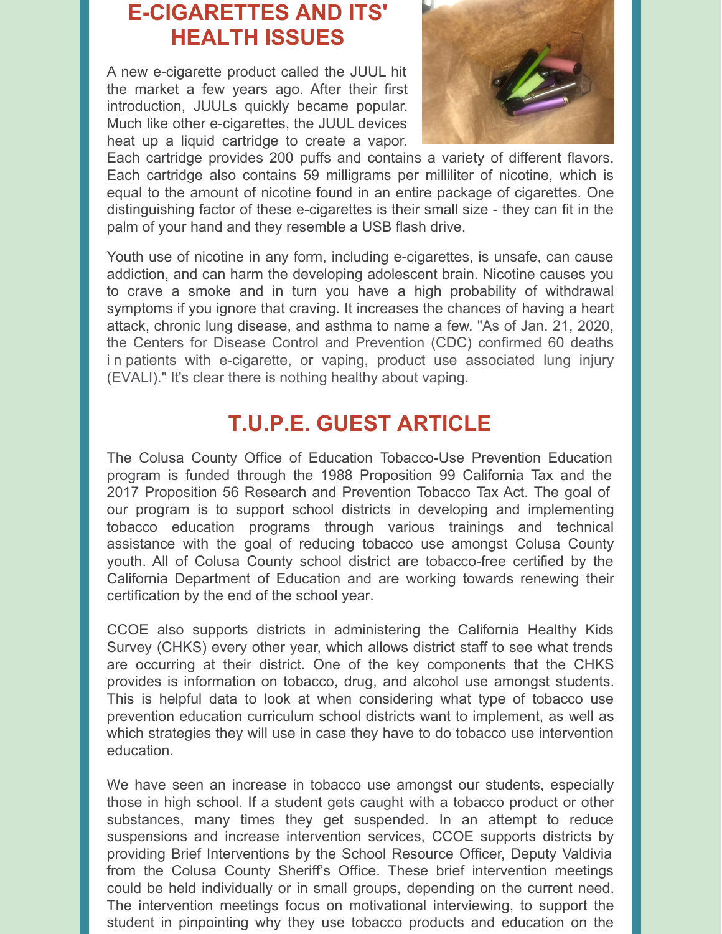# **E-CIGARETTES AND ITS' HEALTH ISSUES**

A new e-cigarette product called the JUUL hit the market a few years ago. After their first introduction, JUULs quickly became popular. Much like other e-cigarettes, the JUUL devices heat up a liquid cartridge to create a vapor.



Each cartridge provides 200 puffs and contains a variety of different flavors. Each cartridge also contains 59 milligrams per milliliter of nicotine, which is equal to the amount of nicotine found in an entire package of cigarettes. One distinguishing factor of these e-cigarettes is their small size - they can fit in the palm of your hand and they resemble a USB flash drive.

Youth use of nicotine in any form, including e-cigarettes, is unsafe, can cause addiction, and can harm the developing adolescent brain. Nicotine causes you to crave a smoke and in turn you have a high probability of withdrawal symptoms if you ignore that craving. It increases the chances of having a heart attack, chronic lung disease, and asthma to name a few. "As of Jan. 21, 2020, the Centers for Disease Control and Prevention (CDC) confirmed 60 deaths i n patients with [e-cigarette,](https://www.cdc.gov/tobacco/basic_information/e-cigarettes/severe-lung-disease.html) or vaping, product use associated lung injury (EVALI)." It's clear there is nothing healthy about vaping.

## **T.U.P.E. GUEST ARTICLE**

The Colusa County Office of Education Tobacco-Use Prevention Education program is funded through the 1988 Proposition 99 California Tax and the 2017 Proposition 56 Research and Prevention Tobacco Tax Act. The goal of our program is to support school districts in developing and implementing tobacco education programs through various trainings and technical assistance with the goal of reducing tobacco use amongst Colusa County youth. All of Colusa County school district are tobacco-free certified by the California Department of Education and are working towards renewing their certification by the end of the school year.

CCOE also supports districts in administering the California Healthy Kids Survey (CHKS) every other year, which allows district staff to see what trends are occurring at their district. One of the key components that the CHKS provides is information on tobacco, drug, and alcohol use amongst students. This is helpful data to look at when considering what type of tobacco use prevention education curriculum school districts want to implement, as well as which strategies they will use in case they have to do tobacco use intervention education.

We have seen an increase in tobacco use amongst our students, especially those in high school. If a student gets caught with a tobacco product or other substances, many times they get suspended. In an attempt to reduce suspensions and increase intervention services, CCOE supports districts by providing Brief Interventions by the School Resource Officer, Deputy Valdivia from the Colusa County Sheriff's Office. These brief intervention meetings could be held individually or in small groups, depending on the current need. The intervention meetings focus on motivational interviewing, to support the student in pinpointing why they use tobacco products and education on the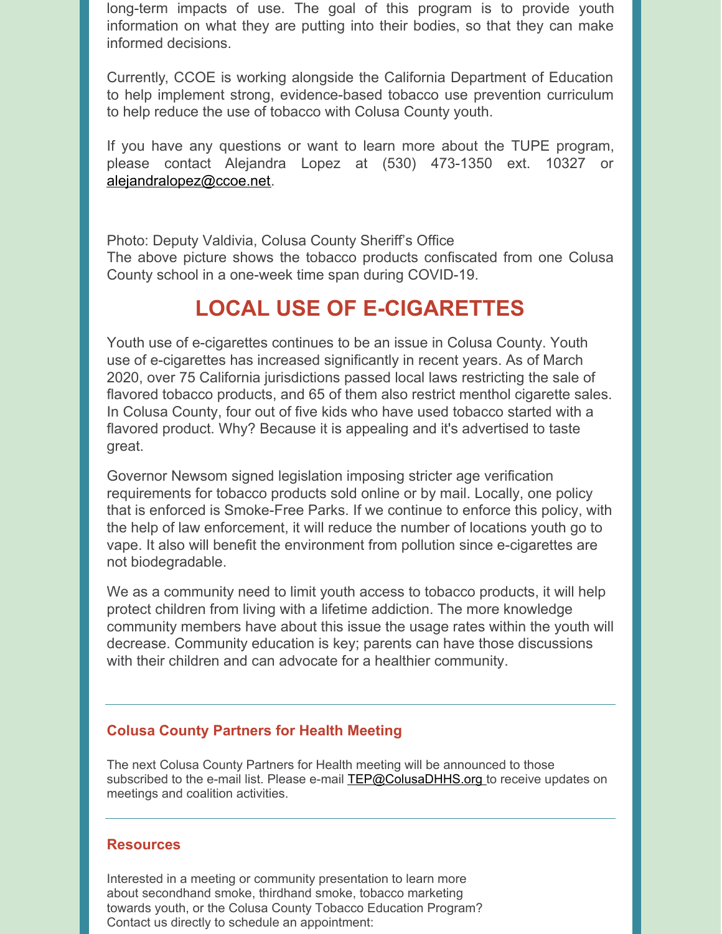long-term impacts of use. The goal of this program is to provide youth information on what they are putting into their bodies, so that they can make informed decisions.

Currently, CCOE is working alongside the California Department of Education to help implement strong, evidence-based tobacco use prevention curriculum to help reduce the use of tobacco with Colusa County youth.

If you have any questions or want to learn more about the TUPE program, please contact Alejandra Lopez at (530) 473-1350 ext. 10327 or [alejandralopez@ccoe.net](mailto:alejandralopez@ccoe.net).

Photo: Deputy Valdivia, Colusa County Sheriff's Office The above picture shows the tobacco products confiscated from one Colusa County school in a one-week time span during COVID-19.

# **LOCAL USE OF E-CIGARETTES**

Youth use of e-cigarettes continues to be an issue in Colusa County. Youth use of e-cigarettes has increased significantly in recent years. As of March 2020, over 75 California jurisdictions passed local laws restricting the sale of flavored tobacco products, and 65 of them also restrict menthol cigarette sales. In Colusa County, four out of five kids who have used tobacco started with a flavored product. Why? Because it is appealing and it's advertised to taste great.

Governor Newsom signed legislation imposing stricter age verification requirements for tobacco products sold online or by mail. Locally, one policy that is enforced is Smoke-Free Parks. If we continue to enforce this policy, with the help of law enforcement, it will reduce the number of locations youth go to vape. It also will benefit the environment from pollution since e-cigarettes are not biodegradable.

We as a community need to limit youth access to tobacco products, it will help protect children from living with a lifetime addiction. The more knowledge community members have about this issue the usage rates within the youth will decrease. Community education is key; parents can have those discussions with their children and can advocate for a healthier community.

#### **Colusa County Partners for Health Meeting**

The next Colusa County Partners for Health meeting will be announced to those subscribed to the e-mail list. Please e-mail **[TEP@ColusaDHHS.org](mailto:TEP@ColusaDHHS.org)** to receive updates on meetings and coalition activities.

#### **Resources**

Interested in a meeting or community presentation to learn more about secondhand smoke, thirdhand smoke, tobacco marketing towards youth, or the Colusa County Tobacco Education Program? Contact us directly to schedule an appointment: